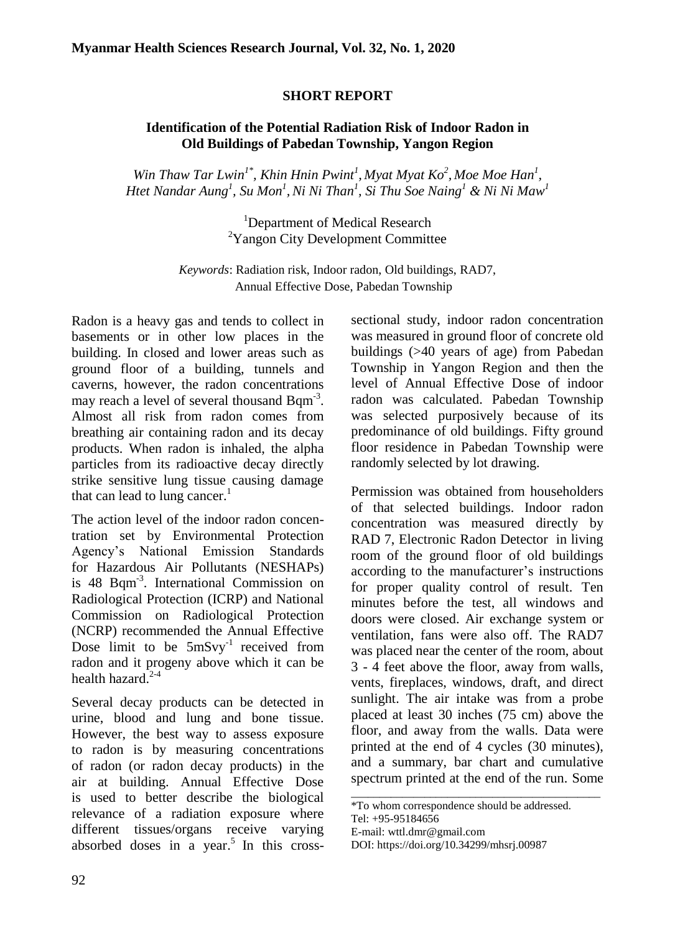## **SHORT REPORT**

## **Identification of the Potential Radiation Risk of Indoor Radon in Old Buildings of Pabedan Township, Yangon Region**

*Win Thaw Tar Lwin1\*, Khin Hnin Pwint<sup>1</sup> , Myat Myat Ko<sup>2</sup> , Moe Moe Han<sup>1</sup> , Htet Nandar Aung<sup>1</sup> , Su Mon<sup>1</sup> ,Ni Ni Than<sup>1</sup> , Si Thu Soe Naing<sup>1</sup> & Ni Ni Maw<sup>1</sup>*

> <sup>1</sup>Department of Medical Research <sup>2</sup>Yangon City Development Committee

*Keywords*: Radiation risk, Indoor radon, Old buildings, RAD7, Annual Effective Dose, Pabedan Township

Radon is a heavy gas and tends to collect in basements or in other low places in the building. In closed and lower areas such as ground floor of a building, tunnels and caverns, however, the radon concentrations may reach a level of several thousand Bqm<sup>-3</sup>. Almost all risk from radon comes from breathing air containing radon and its decay products. When radon is inhaled, the alpha particles from its radioactive decay directly strike sensitive lung tissue causing damage that can lead to lung cancer.<sup>1</sup>

The action level of the indoor radon concentration set by Environmental Protection Agency's National Emission Standards for Hazardous Air Pollutants (NESHAPs) is 48 Bqm<sup>-3</sup>. International Commission on Radiological Protection (ICRP) and National Commission on Radiological Protection (NCRP) recommended the Annual Effective Dose limit to be  $5 \text{mSvy}^{-1}$  received from radon and it progeny above which it can be health hazard.<sup>2-4</sup>

Several decay products can be detected in urine, blood and lung and bone tissue. However, the best way to assess exposure to radon is by measuring concentrations of radon (or radon decay products) in the air at building. Annual Effective Dose is used to better describe the biological relevance of a radiation exposure where different tissues/organs receive varying absorbed doses in a year.<sup>5</sup> In this crosssectional study, indoor radon concentration was measured in ground floor of concrete old buildings (>40 years of age) from Pabedan Township in Yangon Region and then the level of Annual Effective Dose of indoor radon was calculated. Pabedan Township was selected purposively because of its predominance of old buildings. Fifty ground floor residence in Pabedan Township were randomly selected by lot drawing.

Permission was obtained from householders of that selected buildings. Indoor radon concentration was measured directly by RAD 7, Electronic Radon Detector in living room of the ground floor of old buildings according to the manufacturer's instructions for proper quality control of result. Ten minutes before the test, all windows and doors were closed. Air exchange system or ventilation, fans were also off. The RAD7 was placed near the center of the room, about 3 - 4 feet above the floor, away from walls, vents, fireplaces, windows, draft, and direct sunlight. The air intake was from a probe placed at least 30 inches (75 cm) above the floor, and away from the walls. Data were printed at the end of 4 cycles (30 minutes), and a summary, bar chart and cumulative spectrum printed at the end of the run. Some

\_\_\_\_\_\_\_\_\_\_\_\_\_\_\_\_\_\_\_\_\_\_\_\_\_\_\_\_\_\_\_\_\_\_\_\_\_\_\_\_\_\_\_\_

<sup>\*</sup>To whom correspondence should be addressed. Tel: +95-95184656

E-mail: wttl.dmr@gmail.com

DOI: [https://doi.org/10.34299/mhsrj.0098](https://doi.org/10.34299/mhsrj.009)7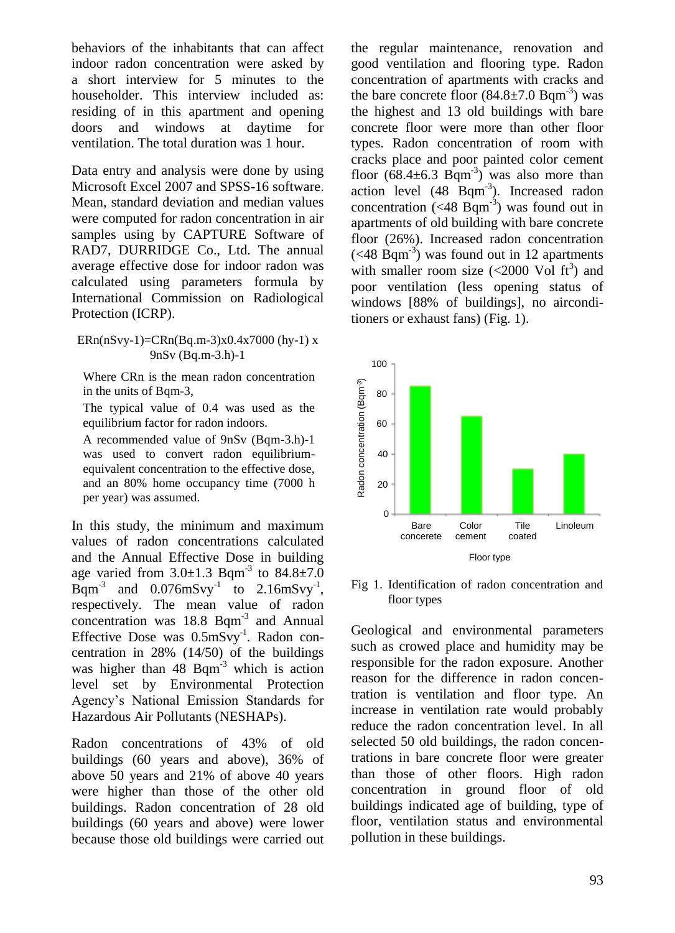behaviors of the inhabitants that can affect indoor radon concentration were asked by a short interview for 5 minutes to the householder. This interview included as: residing of in this apartment and opening<br>doors and windows at daytime for doors and windows at daytime for ventilation. The total duration was 1 hour.

Data entry and analysis were done by using Microsoft Excel 2007 and SPSS-16 software. Mean, standard deviation and median values were computed for radon concentration in air samples using by CAPTURE Software of RAD7, DURRIDGE Co., Ltd. The annual average effective dose for indoor radon was calculated using parameters formula by International Commission on Radiological Protection (ICRP).

 $ERn(nSvy-1)=CRn(Bq.m-3)x0.4x7000 (hy-1)x$ 9nSv (Bq.m-3.h)-1

Where CRn is the mean radon concentration in the units of Bqm-3,

The typical value of 0.4 was used as the equilibrium factor for radon indoors.

A recommended value of 9nSv (Bqm-3.h)-1 was used to convert radon equilibriumequivalent concentration to the effective dose, and an 80% home occupancy time (7000 h per year) was assumed.

In this study, the minimum and maximum values of radon concentrations calculated and the Annual Effective Dose in building age varied from  $3.0 \pm 1.3$  Bqm<sup>-3</sup> to  $84.8 \pm 7.0$ Bqm<sup>-3</sup> and  $0.076$ mSvy<sup>-1</sup> to  $2.16$ mSvy<sup>-1</sup>, respectively. The mean value of radon concentration was 18.8 Bqm<sup>-3</sup> and Annual Effective Dose was 0.5mSvy<sup>-1</sup>. Radon concentration in 28% (14/50) of the buildings was higher than 48 Bqm<sup>-3</sup> which is action level set by Environmental Protection Agency's National Emission Standards for Hazardous Air Pollutants (NESHAPs).

Radon concentrations of 43% of old buildings (60 years and above), 36% of above 50 years and 21% of above 40 years were higher than those of the other old buildings. Radon concentration of 28 old buildings (60 years and above) were lower because those old buildings were carried out the regular maintenance, renovation and good ventilation and flooring type. Radon concentration of apartments with cracks and the bare concrete floor  $(84.8 \pm 7.0 \text{ Bqm}^3)$  was the highest and 13 old buildings with bare concrete floor were more than other floor types. Radon concentration of room with cracks place and poor painted color cement floor  $(68.4 \pm 6.3$  Bqm<sup>-3</sup>) was also more than action level  $(48 \text{ Bqm}^3)$ . Increased radon concentration  $(<$  48 Bqm<sup>-3</sup>) was found out in apartments of old building with bare concrete floor (26%). Increased radon concentration  $(<$ 48 Bqm<sup>-3</sup>) was found out in 12 apartments with smaller room size  $\left($  <2000 Vol ft<sup>3</sup>) and poor ventilation (less opening status of windows [88% of buildings], no airconditioners or exhaust fans) (Fig. 1).



Fig 1. Identification of radon concentration and floor types

Geological and environmental parameters such as crowed place and humidity may be responsible for the radon exposure. Another reason for the difference in radon concentration is ventilation and floor type. An increase in ventilation rate would probably reduce the radon concentration level. In all selected 50 old buildings, the radon concentrations in bare concrete floor were greater than those of other floors. High radon concentration in ground floor of old buildings indicated age of building, type of floor, ventilation status and environmental pollution in these buildings.